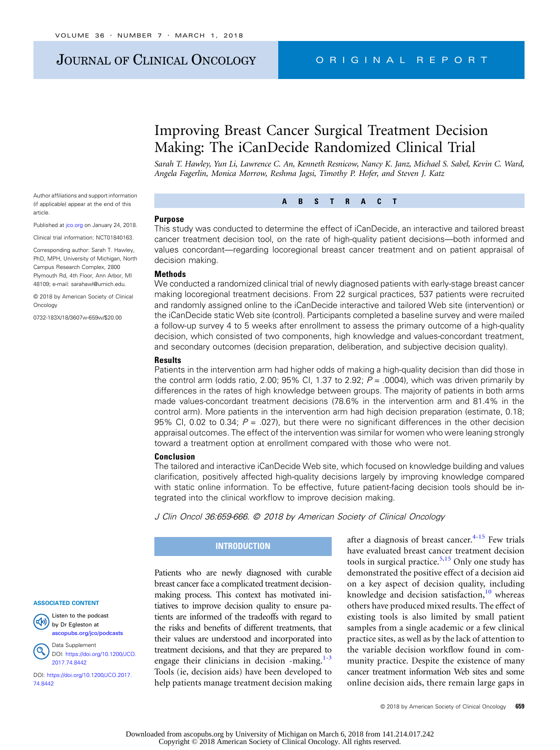# JOURNAL OF CLINICAL ONCOLOGY CRIGINAL REPORT

# Improving Breast Cancer Surgical Treatment Decision Making: The iCanDecide Randomized Clinical Trial

Sarah T. Hawley, Yun Li, Lawrence C. An, Kenneth Resnicow, Nancy K. Janz, Michael S. Sabel, Kevin C. Ward, Angela Fagerlin, Monica Morrow, Reshma Jagsi, Timothy P. Hofer, and Steven J. Katz

ABSTRACT

Author affiliations and support information (if applicable) appear at the end of this article.

Published at joo.org on January 24, 2018.

Clinical trial information: NCT01840163.

Corresponding author: Sarah T. Hawley, PhD, MPH, University of Michigan, North Campus Research Complex, 2800 Plymouth Rd, 4th Floor, Ann Arbor, MI 48109; e-mail: [sarahawl@umich.edu](mailto:sarahawl@umich.edu).

© 2018 by American Society of Clinical **Oncology** 

0732-183X/18/3607w-659w/\$20.00

#### Purpose

This study was conducted to determine the effect of iCanDecide, an interactive and tailored breast cancer treatment decision tool, on the rate of high-quality patient decisions—both informed and values concordant—regarding locoregional breast cancer treatment and on patient appraisal of decision making.

## Methods

We conducted a randomized clinical trial of newly diagnosed patients with early-stage breast cancer making locoregional treatment decisions. From 22 surgical practices, 537 patients were recruited and randomly assigned online to the iCanDecide interactive and tailored Web site (intervention) or the iCanDecide static Web site (control). Participants completed a baseline survey and were mailed a follow-up survey 4 to 5 weeks after enrollment to assess the primary outcome of a high-quality decision, which consisted of two components, high knowledge and values-concordant treatment, and secondary outcomes (decision preparation, deliberation, and subjective decision quality).

#### **Results**

Patients in the intervention arm had higher odds of making a high-quality decision than did those in the control arm (odds ratio, 2.00; 95% CI, 1.37 to 2.92;  $P = 0.004$ ), which was driven primarily by differences in the rates of high knowledge between groups. The majority of patients in both arms made values-concordant treatment decisions (78.6% in the intervention arm and 81.4% in the control arm). More patients in the intervention arm had high decision preparation (estimate, 0.18; 95% CI, 0.02 to 0.34;  $P = 0.027$ ), but there were no significant differences in the other decision appraisal outcomes. The effect of the intervention was similar for women who were leaning strongly toward a treatment option at enrollment compared with those who were not.

#### Conclusion

The tailored and interactive iCanDecide Web site, which focused on knowledge building and values clarification, positively affected high-quality decisions largely by improving knowledge compared with static online information. To be effective, future patient-facing decision tools should be integrated into the clinical workflow to improve decision making.

J Clin Oncol 36:659-666. © 2018 by American Society of Clinical Oncology

### **INTRODUCTION**

Patients who are newly diagnosed with curable breast cancer face a complicated treatment decisionmaking process. This context has motivated initiatives to improve decision quality to ensure patients are informed of the tradeoffs with regard to the risks and benefits of different treatments, that their values are understood and incorporated into treatment decisions, and that they are prepared to engage their clinicians in decision -making. $1-3$ Tools (ie, decision aids) have been developed to help patients manage treatment decision making after a diagnosis of breast cancer. $4-15$  $4-15$  $4-15$  Few trials have evaluated breast cancer treatment decision tools in surgical practice.<sup>[5,15](#page-6-0)</sup> Only one study has demonstrated the positive effect of a decision aid on a key aspect of decision quality, including knowledge and decision satisfaction, $10$  whereas others have produced mixed results. The effect of existing tools is also limited by small patient samples from a single academic or a few clinical practice sites, as well as by the lack of attention to the variable decision workflow found in community practice. Despite the existence of many cancer treatment information Web sites and some online decision aids, there remain large gaps in

Listen to the podcast 呦 by Dr Egleston at [ascopubs.org/jco/podcasts](http://ascopubs.org/jco/podcasts)



Data Supplement DOI: [https://doi.org/10.1200/JCO.](http://ascopubs.org/doi/full/10.1200/JCO.2017.74.8442) [2017.74.8442](http://ascopubs.org/doi/full/10.1200/JCO.2017.74.8442)

DOI: [https://doi.org/10.1200/JCO.2017.](http://ascopubs.org/doi/full/10.1200/JCO.2017.74.8442) [74.8442](http://ascopubs.org/doi/full/10.1200/JCO.2017.74.8442)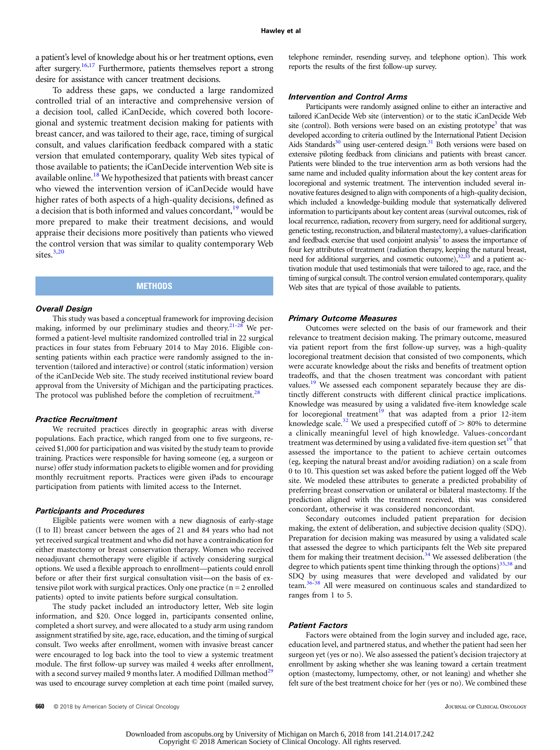a patient's level of knowledge about his or her treatment options, even after surgery.<sup>16,[17](#page-6-0)</sup> Furthermore, patients themselves report a strong desire for assistance with cancer treatment decisions.

To address these gaps, we conducted a large randomized controlled trial of an interactive and comprehensive version of a decision tool, called iCanDecide, which covered both locoregional and systemic treatment decision making for patients with breast cancer, and was tailored to their age, race, timing of surgical consult, and values clarification feedback compared with a static version that emulated contemporary, quality Web sites typical of those available to patients; the iCanDecide intervention Web site is available online.<sup>18</sup> We hypothesized that patients with breast cancer who viewed the intervention version of iCanDecide would have higher rates of both aspects of a high-quality decisions, defined as a decision that is both informed and values concordant, $19$  would be more prepared to make their treatment decisions, and would appraise their decisions more positively than patients who viewed the control version that was similar to quality contemporary Web sites.<sup>3,20</sup>

## **METHODS**

#### Overall Design

This study was based a conceptual framework for improving decision making, informed by our preliminary studies and theory.<sup>[21-28](#page-6-0)</sup> We performed a patient-level multisite randomized controlled trial in 22 surgical practices in four states from February 2014 to May 2016. Eligible consenting patients within each practice were randomly assigned to the intervention (tailored and interactive) or control (static information) version of the iCanDecide Web site. The study received institutional review board approval from the University of Michigan and the participating practices. The protocol was published before the completion of recruitment.<sup>26</sup>

#### Practice Recruitment

We recruited practices directly in geographic areas with diverse populations. Each practice, which ranged from one to five surgeons, received \$1,000 for participation and was visited by the study team to provide training. Practices were responsible for having someone (eg, a surgeon or nurse) offer study information packets to eligible women and for providing monthly recruitment reports. Practices were given iPads to encourage participation from patients with limited access to the Internet.

### Participants and Procedures

Eligible patients were women with a new diagnosis of early-stage (I to II) breast cancer between the ages of 21 and 84 years who had not yet received surgical treatment and who did not have a contraindication for either mastectomy or breast conservation therapy. Women who received neoadjuvant chemotherapy were eligible if actively considering surgical options. We used a flexible approach to enrollment—patients could enroll before or after their first surgical consultation visit—on the basis of extensive pilot work with surgical practices. Only one practice  $(n = 2$  enrolled patients) opted to invite patients before surgical consultation.

The study packet included an introductory letter, Web site login information, and \$20. Once logged in, participants consented online, completed a short survey, and were allocated to a study arm using random assignment stratified by site, age, race, education, and the timing of surgical consult. Two weeks after enrollment, women with invasive breast cancer were encouraged to log back into the tool to view a systemic treatment module. The first follow-up survey was mailed 4 weeks after enrollment, with a second survey mailed 9 months later. A modified Dillman method $^{29}$  $^{29}$  $^{29}$ was used to encourage survey completion at each time point (mailed survey, telephone reminder, resending survey, and telephone option). This work reports the results of the first follow-up survey.

#### Intervention and Control Arms

Participants were randomly assigned online to either an interactive and tailored iCanDecide Web site (intervention) or to the static iCanDecide Web site (control). Both versions were based on an existing prototype<sup>[3](#page-6-0)</sup> that was developed according to criteria outlined by the International Patient Decision Aids Standards<sup>30</sup> using user-centered design.<sup>31</sup> Both versions were based on extensive piloting feedback from clinicians and patients with breast cancer. Patients were blinded to the true intervention arm as both versions had the same name and included quality information about the key content areas for locoregional and systemic treatment. The intervention included several innovative features designed to align with components of a high-quality decision, which included a knowledge-building module that systematically delivered information to participants about key content areas (survival outcomes, risk of local recurrence, radiation, recovery from surgery, need for additional surgery, genetic testing, reconstruction, and bilateral mastectomy), a values-clarification and feedback exercise that used conjoint analysis<sup>3</sup> to assess the importance of four key attributes of treatment (radiation therapy, keeping the natural breast, need for additional surgeries, and cosmetic outcome),<sup>32,33</sup> and a patient activation module that used testimonials that were tailored to age, race, and the timing of surgical consult. The control version emulated contemporary, quality Web sites that are typical of those available to patients.

#### Primary Outcome Measures

Outcomes were selected on the basis of our framework and their relevance to treatment decision making. The primary outcome, measured via patient report from the first follow-up survey, was a high-quality locoregional treatment decision that consisted of two components, which were accurate knowledge about the risks and benefits of treatment option tradeoffs, and that the chosen treatment was concordant with patient values.<sup>[19](#page-6-0)</sup> We assessed each component separately because they are distinctly different constructs with different clinical practice implications. Knowledge was measured by using a validated five-item knowledge scale for locoregional treatment<sup>19</sup> that was adapted from a prior 12-item knowledge scale.<sup>[32](#page-6-0)</sup> We used a prespecified cutoff of  $> 80\%$  to determine a clinically meaningful level of high knowledge. Values-concordant treatment was determined by using a validated five-item question set<sup>[19](#page-6-0)</sup> that assessed the importance to the patient to achieve certain outcomes (eg, keeping the natural breast and/or avoiding radiation) on a scale from 0 to 10. This question set was asked before the patient logged off the Web site. We modeled these attributes to generate a predicted probability of preferring breast conservation or unilateral or bilateral mastectomy. If the prediction aligned with the treatment received, this was considered concordant, otherwise it was considered nonconcordant.

Secondary outcomes included patient preparation for decision making, the extent of deliberation, and subjective decision quality (SDQ). Preparation for decision making was measured by using a validated scale that assessed the degree to which participants felt the Web site prepared them for making their treatment decision.<sup>[34](#page-6-0)</sup> We assessed deliberation (the degree to which patients spent time thinking through the options)<sup>[35](#page-6-0),[38](#page-6-0)</sup> and SDQ by using measures that were developed and validated by our team.[36](#page-6-0)-[38](#page-6-0) All were measured on continuous scales and standardized to ranges from 1 to 5.

## Patient Factors

Factors were obtained from the login survey and included age, race, education level, and partnered status, and whether the patient had seen her surgeon yet (yes or no). We also assessed the patient's decision trajectory at enrollment by asking whether she was leaning toward a certain treatment option (mastectomy, lumpectomy, other, or not leaning) and whether she felt sure of the best treatment choice for her (yes or no). We combined these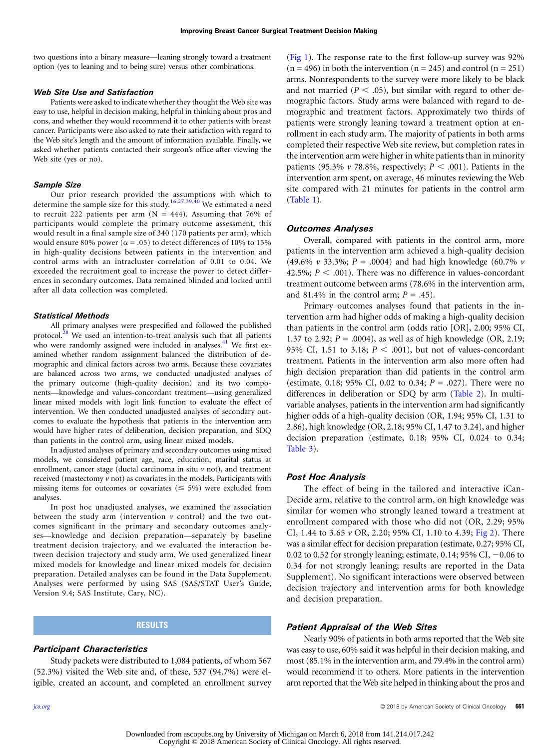two questions into a binary measure—leaning strongly toward a treatment option (yes to leaning and to being sure) versus other combinations.

#### Web Site Use and Satisfaction

Patients were asked to indicate whether they thought the Web site was easy to use, helpful in decision making, helpful in thinking about pros and cons, and whether they would recommend it to other patients with breast cancer. Participants were also asked to rate their satisfaction with regard to the Web site's length and the amount of information available. Finally, we asked whether patients contacted their surgeon's office after viewing the Web site (yes or no).

#### Sample Size

Our prior research provided the assumptions with which to determine the sample size for this study.<sup>[16](#page-6-0),[27,39,40](#page-6-0)</sup> We estimated a need to recruit 222 patients per arm  $(N = 444)$ . Assuming that 76% of participants would complete the primary outcome assessment, this would result in a final sample size of 340 (170 patients per arm), which would ensure 80% power ( $\alpha$  = .05) to detect differences of 10% to 15% in high-quality decisions between patients in the intervention and control arms with an intracluster correlation of 0.01 to 0.04. We exceeded the recruitment goal to increase the power to detect differences in secondary outcomes. Data remained blinded and locked until after all data collection was completed.

#### Statistical Methods

All primary analyses were prespecified and followed the published protocol.<sup>[28](#page-6-0)</sup> We used an intention-to-treat analysis such that all patients who were randomly assigned were included in analyses. $41$  We first examined whether random assignment balanced the distribution of demographic and clinical factors across two arms. Because these covariates are balanced across two arms, we conducted unadjusted analyses of the primary outcome (high-quality decision) and its two components—knowledge and values-concordant treatment—using generalized linear mixed models with logit link function to evaluate the effect of intervention. We then conducted unadjusted analyses of secondary outcomes to evaluate the hypothesis that patients in the intervention arm would have higher rates of deliberation, decision preparation, and SDQ than patients in the control arm, using linear mixed models.

In adjusted analyses of primary and secondary outcomes using mixed models, we considered patient age, race, education, marital status at enrollment, cancer stage (ductal carcinoma in situ  $\nu$  not), and treatment received (mastectomy  $\nu$  not) as covariates in the models. Participants with missing items for outcomes or covariates ( $\leq$  5%) were excluded from analyses.

In post hoc unadjusted analyses, we examined the association between the study arm (intervention  $\nu$  control) and the two outcomes significant in the primary and secondary outcomes analyses—knowledge and decision preparation—separately by baseline treatment decision trajectory, and we evaluated the interaction between decision trajectory and study arm. We used generalized linear mixed models for knowledge and linear mixed models for decision preparation. Detailed analyses can be found in the Data Supplement. Analyses were performed by using SAS (SAS/STAT User's Guide, Version 9.4; SAS Institute, Cary, NC).

## RESULTS

## Participant Characteristics

Study packets were distributed to 1,084 patients, of whom 567 (52.3%) visited the Web site and, of these, 537 (94.7%) were eligible, created an account, and completed an enrollment survey

([Fig 1](#page-3-0)). The response rate to the first follow-up survey was 92%  $(n = 496)$  in both the intervention  $(n = 245)$  and control  $(n = 251)$ arms. Nonrespondents to the survey were more likely to be black and not married ( $P < .05$ ), but similar with regard to other demographic factors. Study arms were balanced with regard to demographic and treatment factors. Approximately two thirds of patients were strongly leaning toward a treatment option at enrollment in each study arm. The majority of patients in both arms completed their respective Web site review, but completion rates in the intervention arm were higher in white patients than in minority patients (95.3%  $\nu$  78.8%, respectively;  $P < .001$ ). Patients in the intervention arm spent, on average, 46 minutes reviewing the Web site compared with 21 minutes for patients in the control arm ([Table 1\)](#page-4-0).

### Outcomes Analyses

Overall, compared with patients in the control arm, more patients in the intervention arm achieved a high-quality decision (49.6%  $v$  33.3%;  $P = .0004$ ) and had high knowledge (60.7%  $v$ ) 42.5%;  $P < .001$ ). There was no difference in values-concordant treatment outcome between arms (78.6% in the intervention arm, and 81.4% in the control arm;  $P = .45$ ).

Primary outcomes analyses found that patients in the intervention arm had higher odds of making a high-quality decision than patients in the control arm (odds ratio [OR], 2.00; 95% CI, 1.37 to 2.92;  $P = .0004$ ), as well as of high knowledge (OR, 2.19; 95% CI, 1.51 to 3.18;  $P < .001$ ), but not of values-concordant treatment. Patients in the intervention arm also more often had high decision preparation than did patients in the control arm (estimate, 0.18; 95% CI, 0.02 to 0.34;  $P = .027$ ). There were no differences in deliberation or SDQ by arm ([Table 2](#page-4-0)). In multivariable analyses, patients in the intervention arm had significantly higher odds of a high-quality decision (OR, 1.94; 95% CI, 1.31 to 2.86), high knowledge (OR, 2.18; 95% CI, 1.47 to 3.24), and higher decision preparation (estimate, 0.18; 95% CI, 0.024 to 0.34; [Table 3](#page-5-0)).

#### Post Hoc Analysis

The effect of being in the tailored and interactive iCan-Decide arm, relative to the control arm, on high knowledge was similar for women who strongly leaned toward a treatment at enrollment compared with those who did not (OR, 2.29; 95% CI, 1.44 to 3.65 v OR, 2.20; 95% CI, 1.10 to 4.39; [Fig 2](#page-5-0)). There was a similar effect for decision preparation (estimate, 0.27; 95% CI, 0.02 to 0.52 for strongly leaning; estimate, 0.14; 95% CI,  $-0.06$  to 0.34 for not strongly leaning; results are reported in the Data Supplement). No significant interactions were observed between decision trajectory and intervention arms for both knowledge and decision preparation.

#### Patient Appraisal of the Web Sites

Nearly 90% of patients in both arms reported that the Web site was easy to use, 60% said it was helpful in their decision making, and most (85.1% in the intervention arm, and 79.4% in the control arm) would recommend it to others. More patients in the intervention arm reported that the Web site helped in thinking about the pros and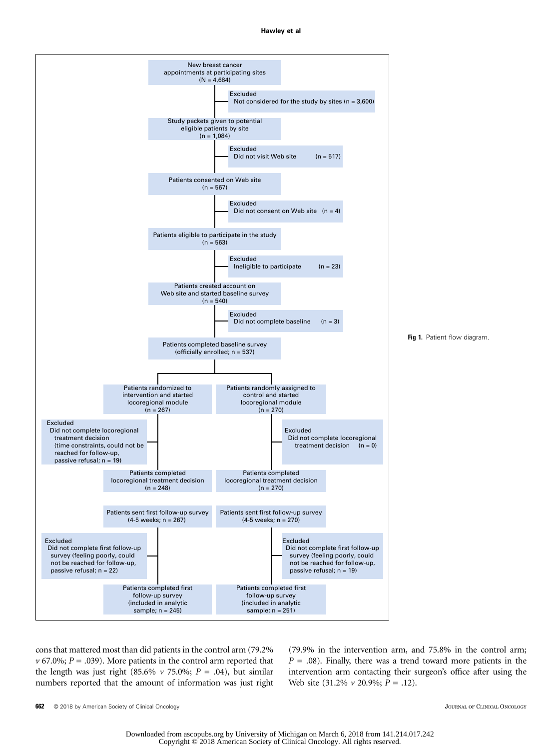#### Hawley et al

<span id="page-3-0"></span>

cons that mattered most than did patients in the control arm (79.2%  $v$  67.0%;  $P = .039$ ). More patients in the control arm reported that the length was just right (85.6%  $\nu$  75.0%;  $P = .04$ ), but similar numbers reported that the amount of information was just right

(79.9% in the intervention arm, and 75.8% in the control arm;  $P = .08$ ). Finally, there was a trend toward more patients in the intervention arm contacting their surgeon's office after using the Web site  $(31.2\% \nu 20.9\%; P=.12)$ .

662 © 2018 by American Society of Clinical Oncology **Secure American** Structure and Tournal Of Clinical ONCOLOGY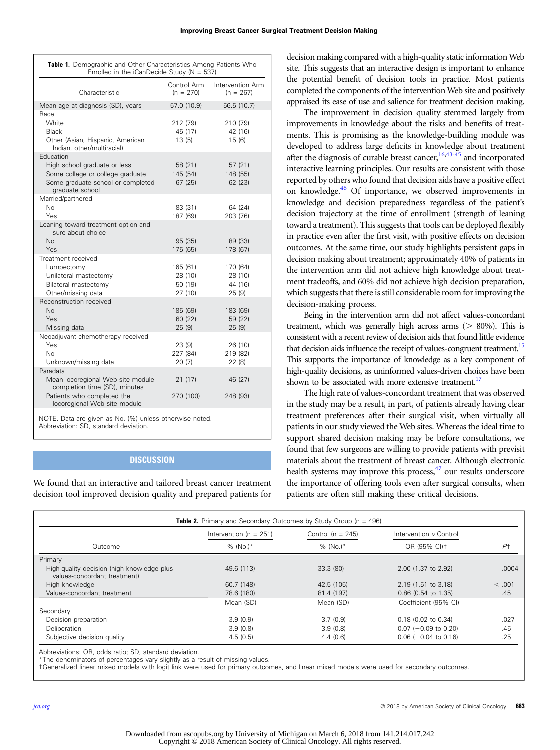<span id="page-4-0"></span>

| Table 1. Demographic and Other Characteristics Among Patients Who<br>Enrolled in the iCanDecide Study ( $N = 537$ ) |                            |                                 |  |  |
|---------------------------------------------------------------------------------------------------------------------|----------------------------|---------------------------------|--|--|
| Characteristic                                                                                                      | Control Arm<br>$(n = 270)$ | Intervention Arm<br>$(n = 267)$ |  |  |
| Mean age at diagnosis (SD), years                                                                                   | 57.0 (10.9)                | 56.5 (10.7)                     |  |  |
| Race                                                                                                                |                            |                                 |  |  |
| White                                                                                                               | 212 (79)                   | 210 (79)                        |  |  |
| <b>Black</b>                                                                                                        | 45 (17)                    | 42 (16)                         |  |  |
| Other (Asian, Hispanic, American<br>Indian, other/multiracial)                                                      | 13 (5)                     | 15 (6)                          |  |  |
| Education                                                                                                           |                            |                                 |  |  |
| High school graduate or less                                                                                        | 58 (21)                    | 57 (21)                         |  |  |
| Some college or college graduate                                                                                    | 145 (54)                   | 148 (55)                        |  |  |
| Some graduate school or completed<br>graduate school                                                                | 67 (25)                    | 62 (23)                         |  |  |
| Married/partnered                                                                                                   |                            |                                 |  |  |
| No.                                                                                                                 | 83 (31)                    | 64 (24)                         |  |  |
| Yes<br>Leaning toward treatment option and                                                                          | 187 (69)                   | 203 (76)                        |  |  |
| sure about choice                                                                                                   |                            |                                 |  |  |
| N <sub>o</sub>                                                                                                      | 95 (35)                    | 89 (33)                         |  |  |
| Yes                                                                                                                 | 175 (65)                   | 178 (67)                        |  |  |
| Treatment received                                                                                                  |                            |                                 |  |  |
| Lumpectomy                                                                                                          | 165 (61)                   | 170 (64)                        |  |  |
| Unilateral mastectomy                                                                                               | 28 (10)                    | 28 (10)                         |  |  |
| Bilateral mastectomy                                                                                                | 50 (19)                    | 44 (16)                         |  |  |
| Other/missing data                                                                                                  | 27 (10)                    | 25 (9)                          |  |  |
| Reconstruction received                                                                                             |                            |                                 |  |  |
| N <sub>o</sub>                                                                                                      | 185 (69)                   | 183 (69)                        |  |  |
| <b>Yes</b>                                                                                                          | 60 (22)                    | 59 (22)                         |  |  |
| Missing data<br>Neoadjuvant chemotherapy received                                                                   | 25(9)                      | 25(9)                           |  |  |
| Yes                                                                                                                 | 23(9)                      | 26 (10)                         |  |  |
| No.                                                                                                                 | 227 (84)                   | 219 (82)                        |  |  |
| Unknown/missing data                                                                                                | 20 (7)                     | 22(8)                           |  |  |
| Paradata                                                                                                            |                            |                                 |  |  |
| Mean locoregional Web site module<br>completion time (SD), minutes                                                  | 21 (17)                    | 46 (27)                         |  |  |
| Patients who completed the<br>locoregional Web site module                                                          | 270 (100)                  | 248 (93)                        |  |  |

NOTE. Data are given as No. (%) unless otherwise noted.

Abbreviation: SD, standard deviation.

## **DISCUSSION**

We found that an interactive and tailored breast cancer treatment decision tool improved decision quality and prepared patients for decision making compared with a high-quality static information Web site. This suggests that an interactive design is important to enhance the potential benefit of decision tools in practice. Most patients completed the components of the intervention Web site and positively appraised its ease of use and salience for treatment decision making.

The improvement in decision quality stemmed largely from improvements in knowledge about the risks and benefits of treatments. This is promising as the knowledge-building module was developed to address large deficits in knowledge about treatment after the diagnosis of curable breast cancer,<sup>[16,43-45](#page-6-0)</sup> and incorporated interactive learning principles. Our results are consistent with those reported by others who found that decision aids have a positive effect on knowledge.<sup>46</sup> Of importance, we observed improvements in knowledge and decision preparedness regardless of the patient's decision trajectory at the time of enrollment (strength of leaning toward a treatment). This suggests that tools can be deployed flexibly in practice even after the first visit, with positive effects on decision outcomes. At the same time, our study highlights persistent gaps in decision making about treatment; approximately 40% of patients in the intervention arm did not achieve high knowledge about treatment tradeoffs, and 60% did not achieve high decision preparation, which suggests that there is still considerable room for improving the decision-making process.

Being in the intervention arm did not affect values-concordant treatment, which was generally high across arms ( $> 80\%$ ). This is consistent with a recent review of decision aids that found little evidence that decision aids influence the receipt of values-congruent treatment.<sup>15</sup> This supports the importance of knowledge as a key component of high-quality decisions, as uninformed values-driven choices have been shown to be associated with more extensive treatment.<sup>[17](#page-6-0)</sup>

The high rate of values-concordant treatment that was observed in the study may be a result, in part, of patients already having clear treatment preferences after their surgical visit, when virtually all patients in our study viewed the Web sites. Whereas the ideal time to support shared decision making may be before consultations, we found that few surgeons are willing to provide patients with previsit materials about the treatment of breast cancer. Although electronic health systems may improve this process, $47$  our results underscore the importance of offering tools even after surgical consults, when patients are often still making these critical decisions.

| Qutcome                                                                    | Intervention ( $n = 251$ )<br>% (No.)* | Control ( $n = 245$ )<br>% (No.)* | Intervention v Control<br>OR (95% CI)+ | $P+$   |
|----------------------------------------------------------------------------|----------------------------------------|-----------------------------------|----------------------------------------|--------|
|                                                                            |                                        |                                   |                                        |        |
| High-quality decision (high knowledge plus<br>values-concordant treatment) | 49.6 (113)                             | 33.3 (80)                         | 2.00 (1.37 to 2.92)                    | .0004  |
| High knowledge                                                             | 60.7 (148)                             | 42.5 (105)                        | 2.19 (1.51 to 3.18)                    | < .001 |
| Values-concordant treatment                                                | 78.6 (180)                             | 81.4 (197)                        | $0.86$ (0.54 to 1.35)                  | .45    |
|                                                                            | Mean (SD)                              | Mean (SD)                         | Coefficient (95% CI)                   |        |
| Secondary                                                                  |                                        |                                   |                                        |        |
| Decision preparation                                                       | 3.9(0.9)                               | 3.7(0.9)                          | 0.18 (0.02 to 0.34)                    | .027   |
| Deliberation                                                               | 3.9(0.8)                               | 3.9(0.8)                          | $0.07$ (-0.09 to 0.20)                 | .45    |
| Subjective decision quality                                                | 4.5(0.5)                               | 4.4(0.6)                          | $0.06$ (-0.04 to 0.16)                 | .25    |

Abbreviations: OR, odds ratio; SD, standard deviation.

\*The denominators of percentages vary slightly as a result of missing values.

†Generalized linear mixed models with logit link were used for primary outcomes, and linear mixed models were used for secondary outcomes.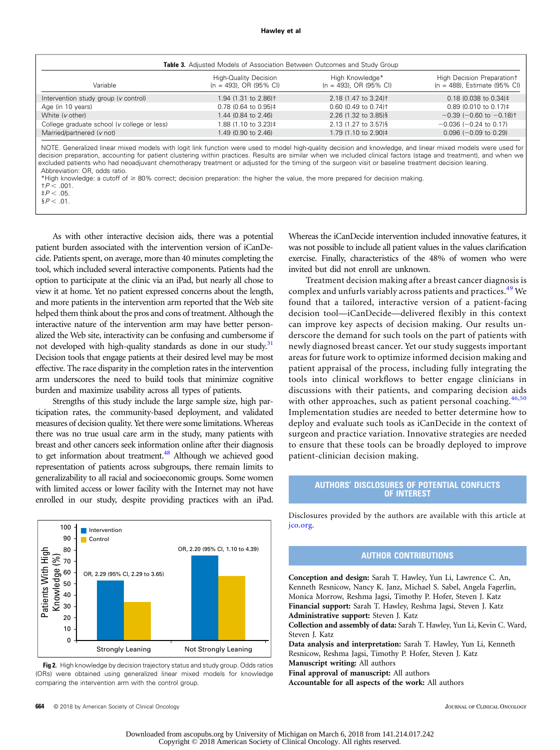#### Hawley et al Hawley et al

<span id="page-5-0"></span>

| Variable                                    | <b>High-Quality Decision</b><br>$(n = 493)$ , OR (95% CI) | High Knowledge*<br>$(n = 493)$ , OR (95% CI) | High Decision Preparation+<br>$(n = 488)$ , Estimate (95% CI) |
|---------------------------------------------|-----------------------------------------------------------|----------------------------------------------|---------------------------------------------------------------|
| Intervention study group (v control)        | 1.94 (1.31 to 2.86) <sup>†</sup>                          | 2.18 (1.47 to 3.24) <sup>†</sup>             | $0.18$ (0.038 to 0.34)‡                                       |
| Age (in 10 years)                           | $0.78$ (0.64 to 0.95)‡                                    | $0.60$ (0.49 to 0.74) <sup>+</sup>           | $0.89$ (0.010 to 0.17) ‡                                      |
| White ( <i>v</i> other)                     | 1.44 (0.84 to 2.46)                                       | 2.26 (1.32 to 3.85)§                         | $-0.39$ ( $-0.60$ to $-0.18$ ) <sup>+</sup>                   |
| College graduate school (v college or less) | 1.88 (1.10 to 3.23)‡                                      | 2.13 (1.27 to 3.57)§                         | $-0.036$ ( $-0.24$ to 0.17)                                   |
| Married/partnered (v not)                   | 1.49 (0.90 to 2.46)                                       | 1.79 (1.10 to 2.90)‡                         | $0.096$ (-0.09 to 0.29)                                       |

NOTE. Generalized linear mixed models with logit link function were used to model high-quality decision and knowledge, and linear mixed models were used for decision preparation, accounting for patient clustering within practices. Results are similar when we included clinical factors (stage and treatment), and when we excluded patients who had neoadjuvant chemotherapy treatment or adjusted for the timing of the surgeon visit or baseline treatment decision leaning. Abbreviation: OR, odds ratio.

\*High knowledge: a cutoff of  $\geq 80\%$  correct; decision preparation: the higher the value, the more prepared for decision making.<br> $tP < 0.01$ 

†P , .001. ‡P , .05.

 $$P < .01$ .

As with other interactive decision aids, there was a potential patient burden associated with the intervention version of iCanDecide. Patients spent, on average, more than 40 minutes completing the tool, which included several interactive components. Patients had the option to participate at the clinic via an iPad, but nearly all chose to view it at home. Yet no patient expressed concerns about the length, and more patients in the intervention arm reported that the Web site helped them think about the pros and cons of treatment. Although the interactive nature of the intervention arm may have better personalized the Web site, interactivity can be confusing and cumbersome if not developed with high-quality standards as done in our study. $31$ Decision tools that engage patients at their desired level may be most effective. The race disparity in the completion rates in the intervention arm underscores the need to build tools that minimize cognitive burden and maximize usability across all types of patients.

Strengths of this study include the large sample size, high participation rates, the community-based deployment, and validated measures of decision quality. Yet there were some limitations. Whereas there was no true usual care arm in the study, many patients with breast and other cancers seek information online after their diagnosis to get information about treatment.<sup>48</sup> Although we achieved good representation of patients across subgroups, there remain limits to generalizability to all racial and socioeconomic groups. Some women with limited access or lower facility with the Internet may not have enrolled in our study, despite providing practices with an iPad.



**Fig 2.** High knowledge by decision trajectory status and study group. Odds ratios (ORs) were obtained using generalized linear mixed models for knowledge comparing the intervention arm with the control group.

Whereas the iCanDecide intervention included innovative features, it was not possible to include all patient values in the values clarification exercise. Finally, characteristics of the 48% of women who were invited but did not enroll are unknown.

Treatment decision making after a breast cancer diagnosis is complex and unfurls variably across patients and practices.<sup>[49](#page-6-0)</sup> We found that a tailored, interactive version of a patient-facing decision tool—iCanDecide—delivered flexibly in this context can improve key aspects of decision making. Our results underscore the demand for such tools on the part of patients with newly diagnosed breast cancer. Yet our study suggests important areas for future work to optimize informed decision making and patient appraisal of the process, including fully integrating the tools into clinical workflows to better engage clinicians in discussions with their patients, and comparing decision aids with other approaches, such as patient personal coaching.  $46,50$  $46,50$  $46,50$ Implementation studies are needed to better determine how to deploy and evaluate such tools as iCanDecide in the context of surgeon and practice variation. Innovative strategies are needed to ensure that these tools can be broadly deployed to improve patient-clinician decision making.

## AUTHORS' DISCLOSURES OF POTENTIAL CONFLICTS OF INTEREST

Disclosures provided by the authors are available with this article at [jco.org](http://jco.org).

## AUTHOR CONTRIBUTIONS

Conception and design: Sarah T. Hawley, Yun Li, Lawrence C. An, Kenneth Resnicow, Nancy K. Janz, Michael S. Sabel, Angela Fagerlin, Monica Morrow, Reshma Jagsi, Timothy P. Hofer, Steven J. Katz Financial support: Sarah T. Hawley, Reshma Jagsi, Steven J. Katz Administrative support: Steven J. Katz

Collection and assembly of data: Sarah T. Hawley, Yun Li, Kevin C. Ward, Steven J. Katz

Data analysis and interpretation: Sarah T. Hawley, Yun Li, Kenneth Resnicow, Reshma Jagsi, Timothy P. Hofer, Steven J. Katz Manuscript writing: All authors

Final approval of manuscript: All authors

Accountable for all aspects of the work: All authors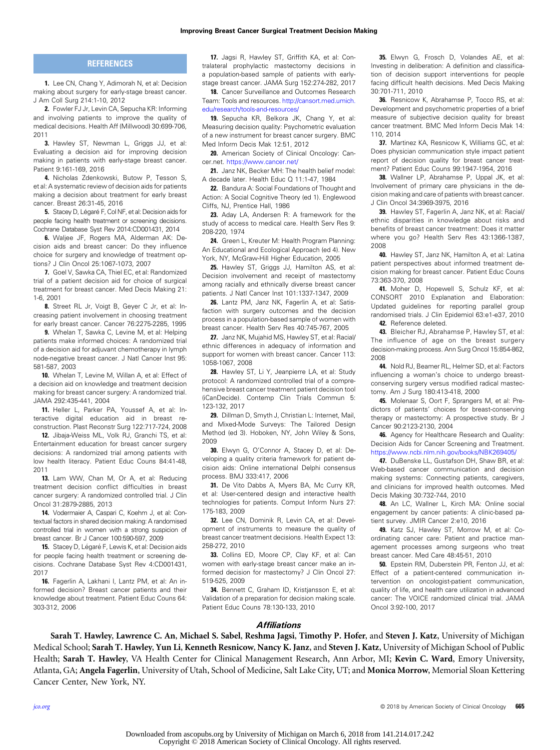## **REFERENCES**

<span id="page-6-0"></span>1. Lee CN, Chang Y, Adimorah N, et al: Decision making about surgery for early-stage breast cancer. J Am Coll Surg 214:1-10, 2012

2. Fowler FJ Jr, Levin CA, Sepucha KR: Informing and involving patients to improve the quality of medical decisions. Health Aff (Millwood) 30:699-706, 2011

3. Hawley ST, Newman L, Griggs JJ, et al: Evaluating a decision aid for improving decision making in patients with early-stage breast cancer. Patient 9:161-169, 2016

4. Nicholas Zdenkowski, Butow P, Tesson S, et al: A systematic review of decision aids for patients making a decision about treatment for early breast cancer. Breast 26:31-45, 2016

5. Stacey D, Légaré F, Col NF, et al: Decision aids for people facing health treatment or screening decisions. Cochrane Database Syst Rev 2014:CD001431, 2014

6. Waljee JF, Rogers MA, Alderman AK: Decision aids and breast cancer: Do they influence choice for surgery and knowledge of treatment options? J Clin Oncol 25:1067-1073, 2007

7. Goel V, Sawka CA, Thiel EC, et al: Randomized trial of a patient decision aid for choice of surgical treatment for breast cancer. Med Decis Making 21: 1-6, 2001

8. Street RL Jr, Voigt B, Geyer C Jr, et al: Increasing patient involvement in choosing treatment for early breast cancer. Cancer 76:2275-2285, 1995

9. Whelan T, Sawka C, Levine M, et al: Helping patients make informed choices: A randomized trial of a decision aid for adjuvant chemotherapy in lymph node-negative breast cancer. J Natl Cancer Inst 95: 581-587, 2003

10. Whelan T, Levine M, Willan A, et al: Effect of a decision aid on knowledge and treatment decision making for breast cancer surgery: A randomized trial. JAMA 292:435-441, 2004

11. Heller L, Parker PA, Youssef A, et al: Interactive digital education aid in breast reconstruction. Plast Reconstr Surg 122:717-724, 2008

12. Jibaja-Weiss ML, Volk RJ, Granchi TS, et al: Entertainment education for breast cancer surgery decisions: A randomized trial among patients with low health literacy. Patient Educ Couns 84:41-48, 2011

13. Lam WW, Chan M, Or A, et al: Reducing treatment decision conflict difficulties in breast cancer surgery: A randomized controlled trial. J Clin Oncol 31:2879-2885, 2013

14. Vodermaier A, Caspari C, Koehm J, et al: Contextual factors in shared decision making: A randomised controlled trial in women with a strong suspicion of breast cancer. Br J Cancer 100:590-597, 2009

15. Stacey D, Légaré F, Lewis K, et al: Decision aids for people facing health treatment or screening decisions. Cochrane Database Syst Rev 4:CD001431, 2017

16. Fagerlin A, Lakhani I, Lantz PM, et al: An informed decision? Breast cancer patients and their knowledge about treatment. Patient Educ Couns 64: 303-312, 2006

17. Jagsi R, Hawley ST, Griffith KA, et al: Contralateral prophylactic mastectomy decisions in a population-based sample of patients with earlystage breast cancer. JAMA Surg 152:274-282, 2017

18. Cancer Surveillance and Outcomes Research Team: Tools and resources. [http://cansort.med.umich.](http://cansort.med.umich.edu/research/tools-and-resources/) [edu/research/tools-and-resources/](http://cansort.med.umich.edu/research/tools-and-resources/)

19. Sepucha KR, Belkora JK, Chang Y, et al: Measuring decision quality: Psychometric evaluation of a new instrument for breast cancer surgery. BMC Med Inform Decis Mak 12:51, 2012

20. American Society of Clinical Oncology: Cancer.net. <https://www.cancer.net/>

21. Janz NK, Becker MH: The health belief model: A decade later. Health Educ Q 11:1-47, 1984

22. Bandura A: Social Foundations of Thought and Action: A Social Cognitive Theory (ed 1). Englewood Cliffs, NJ, Prentice Hall, 1986

23. Aday LA, Andersen R: A framework for the study of access to medical care. Health Serv Res 9: 208-220, 1974

24. Green L, Kreuter M: Health Program Planning: An Educational and Ecological Approach (ed 4). New York, NY, McGraw-Hill Higher Education, 2005

25. Hawley ST, Griggs JJ, Hamilton AS, et al: Decision involvement and receipt of mastectomy among racially and ethnically diverse breast cancer patients. J Natl Cancer Inst 101:1337-1347, 2009

26. Lantz PM, Janz NK, Fagerlin A, et al: Satisfaction with surgery outcomes and the decision process in a population-based sample of women with breast cancer. Health Serv Res 40:745-767, 2005

27. Janz NK, Mujahid MS, Hawley ST, et al: Racial/ ethnic differences in adequacy of information and support for women with breast cancer. Cancer 113: 1058-1067, 2008

28. Hawley ST, Li Y, Jeanpierre LA, et al: Study protocol: A randomized controlled trial of a comprehensive breast cancer treatment patient decision tool (iCanDecide). Contemp Clin Trials Commun 5: 123-132, 2017

29. Dillman D, Smyth J, Christian L: Internet, Mail, and Mixed-Mode Surveys: The Tailored Design Method (ed 3). Hoboken, NY, John Wiley & Sons, 2009

30. Elwyn G, O'Connor A, Stacey D, et al: Developing a quality criteria framework for patient decision aids: Online international Delphi consensus process. BMJ 333:417, 2006

31. De Vito Dabbs A, Myers BA, Mc Curry KR, et al: User-centered design and interactive health technologies for patients. Comput Inform Nurs 27: 175-183, 2009

32. Lee CN, Dominik R, Levin CA, et al: Development of instruments to measure the quality of breast cancer treatment decisions. Health Expect 13: 258-272, 2010

33. Collins ED, Moore CP, Clay KF, et al: Can women with early-stage breast cancer make an informed decision for mastectomy? J Clin Oncol 27: 519-525, 2009

34. Bennett C, Graham ID, Kristjansson E, et al: Validation of a preparation for decision making scale. Patient Educ Couns 78:130-133, 2010

35. Elwyn G, Frosch D, Volandes AE, et al: Investing in deliberation: A definition and classification of decision support interventions for people facing difficult health decisions. Med Decis Making 30:701-711, 2010

36. Resnicow K, Abrahamse P, Tocco RS, et al: Development and psychometric properties of a brief measure of subjective decision quality for breast cancer treatment. BMC Med Inform Decis Mak 14: 110, 2014

37. Martinez KA, Resnicow K, Williams GC, et al: Does physician communication style impact patient report of decision quality for breast cancer treatment? Patient Educ Couns 99:1947-1954, 2016

38. Wallner LP, Abrahamse P, Uppal JK, et al: Involvement of primary care physicians in the decision making and care of patients with breast cancer. J Clin Oncol 34:3969-3975, 2016

39. Hawley ST, Fagerlin A, Janz NK, et al: Racial/ ethnic disparities in knowledge about risks and benefits of breast cancer treatment: Does it matter where you go? Health Serv Res 43:1366-1387, 2008

40. Hawley ST, Janz NK, Hamilton A, et al: Latina patient perspectives about informed treatment decision making for breast cancer. Patient Educ Couns 73:363-370, 2008

41. Moher D, Hopewell S, Schulz KF, et al: CONSORT 2010 Explanation and Elaboration: Updated guidelines for reporting parallel group randomised trials. J Clin Epidemiol 63:e1-e37, 2010 42. Reference deleted.

43. Bleicher RJ, Abrahamse P, Hawley ST, et al: The influence of age on the breast surgery decision-making process. Ann Surg Oncol 15:854-862, 2008

44. Nold RJ, Beamer RL, Helmer SD, et al: Factors influencing a woman's choice to undergo breastconserving surgery versus modified radical mastectomy. Am J Surg 180:413-418, 2000

45. Molenaar S, Oort F, Sprangers M, et al: Predictors of patients' choices for breast-conserving therapy or mastectomy: A prospective study. Br J Cancer 90:2123-2130, 2004

46. Agency for Healthcare Research and Quality: Decision Aids for Cancer Screening and Treatment. <https://www.ncbi.nlm.nih.gov/books/NBK269405/>

47. DuBenske LL, Gustafson DH, Shaw BR, et al: Web-based cancer communication and decision making systems: Connecting patients, caregivers, and clinicians for improved health outcomes. Med Decis Making 30:732-744, 2010

48. An LC, Wallner L, Kirch MA: Online social engagement by cancer patients: A clinic-based patient survey. JMIR Cancer 2:e10, 2016

49. Katz SJ, Hawley ST, Morrow M, et al: Coordinating cancer care: Patient and practice management processes among surgeons who treat breast cancer. Med Care 48:45-51, 2010

50. Epstein RM, Duberstein PR, Fenton JJ, et al: Effect of a patient-centered communication intervention on oncologist-patient communication, quality of life, and health care utilization in advanced cancer: The VOICE randomized clinical trial. JAMA Oncol 3:92-100, 2017

### **Affiliations**

Sarah T. Hawley, Lawrence C. An, Michael S. Sabel, Reshma Jagsi, Timothy P. Hofer, and Steven J. Katz, University of Michigan Medical School; Sarah T. Hawley, Yun Li, Kenneth Resnicow, Nancy K. Janz, and Steven J. Katz, University of Michigan School of Public Health; Sarah T. Hawley, VA Health Center for Clinical Management Research, Ann Arbor, MI; Kevin C. Ward, Emory University, Atlanta, GA; **Angela Fagerlin**, University of Utah, School of Medicine, Salt Lake City, UT; and **Monica Morrow**, Memorial Sloan Kettering Cancer Center, New York, NY.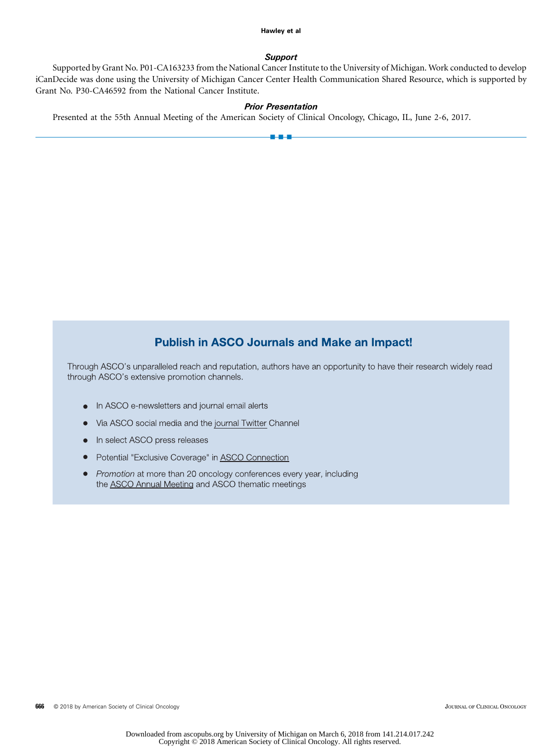#### Hawley et al Hawley et al

## **Support**

Supported by Grant No. P01-CA163233 from the National Cancer Institute to the University of Michigan. Work conducted to develop iCanDecide was done using the University of Michigan Cancer Center Health Communication Shared Resource, which is supported by Grant No. P30-CA46592 from the National Cancer Institute.

# Prior Presentation

a - a - a

Presented at the 55th Annual Meeting of the American Society of Clinical Oncology, Chicago, IL, June 2-6, 2017.

# **Publish in ASCO Journals and Make an Impact!**

Through ASCO's unparalleled reach and reputation, authors have an opportunity to have their research widely read through ASCO's extensive promotion channels.

- In ASCO e-newsletters and journal email alerts
- Via ASCO social media and the journal Twitter Channel
- In select ASCO press releases
- Potential "Exclusive Coverage" in ASCO Connection
- Promotion at more than 20 oncology conferences every year, including the **ASCO Annual Meeting** and ASCO thematic meetings

666 © 2018 by American Society of Clinical Oncology **JOURNAL OF CLINICAL ONCOLOGY** JOURNAL OF CLINICAL ONCOLOGY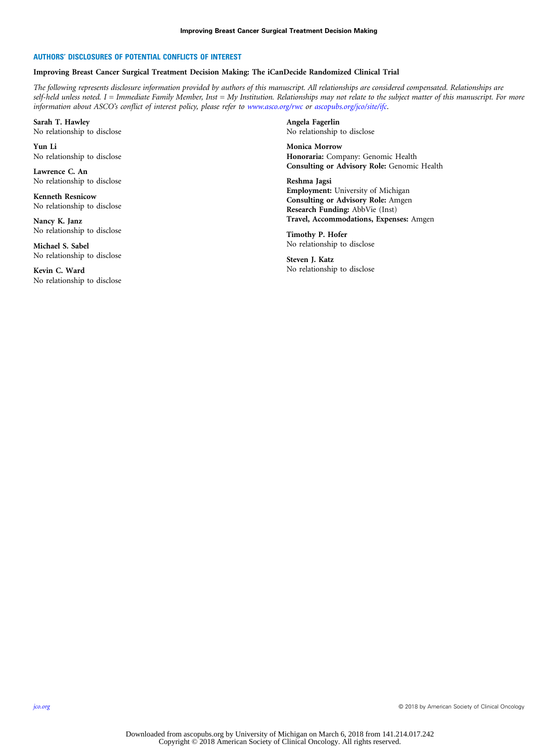### AUTHORS' DISCLOSURES OF POTENTIAL CONFLICTS OF INTEREST

#### Improving Breast Cancer Surgical Treatment Decision Making: The iCanDecide Randomized Clinical Trial

The following represents disclosure information provided by authors of this manuscript. All relationships are considered compensated. Relationships are self-held unless noted. I = Immediate Family Member, Inst = My Institution. Relationships may not relate to the subject matter of this manuscript. For more information about ASCO's conflict of interest policy, please refer to [www.asco.org/rwc](http://www.asco.org/rwc) or [ascopubs.org/jco/site/ifc](http://ascopubs.org/jco/site/ifc).

Sarah T. Hawley No relationship to disclose

Yun Li No relationship to disclose

Lawrence C. An No relationship to disclose

Kenneth Resnicow No relationship to disclose

Nancy K. Janz No relationship to disclose

Michael S. Sabel No relationship to disclose

Kevin C. Ward No relationship to disclose Angela Fagerlin No relationship to disclose

Monica Morrow Honoraria: Company: Genomic Health Consulting or Advisory Role: Genomic Health

Reshma Jagsi Employment: University of Michigan Consulting or Advisory Role: Amgen Research Funding: AbbVie (Inst) Travel, Accommodations, Expenses: Amgen

Timothy P. Hofer No relationship to disclose

Steven J. Katz No relationship to disclose